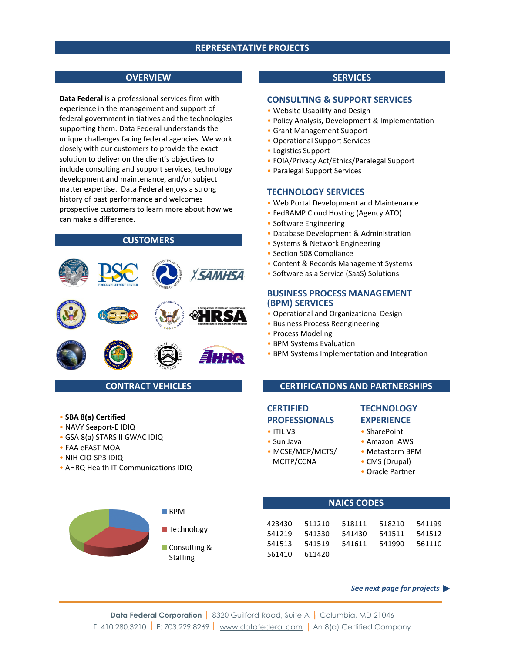## **REPRESENTATIVE PROJECTS**

### **OVERVIEW**

**Data Federal** is a professional services firm with experience in the management and support of federal government initiatives and the technologies supporting them. Data Federal understands the unique challenges facing federal agencies. We work closely with our customers to provide the exact solution to deliver on the client's objectives to include consulting and support services, technology development and maintenance, and/or subject matter expertise. Data Federal enjoys a strong history of past performance and welcomes prospective customers to learn more about how we can make a difference.

# **CUSTOMERS**



# **CONTRACT VEHICLES**

- **SBA 8(a) Certified**
- NAVY Seaport-E IDIQ
- GSA 8(a) STARS II GWAC IDIQ
- FAA eFAST MOA
- NIH CIO-SP3 IDIQ
- AHRQ Health IT Communications IDIQ



# **SERVICES**

#### **CONSULTING & SUPPORT SERVICES**

- Website Usability and Design
- Policy Analysis, Development & Implementation
- Grant Management Support
- Operational Support Services
- Logistics Support
- FOIA/Privacy Act/Ethics/Paralegal Support
- Paralegal Support Services

#### **TECHNOLOGY SERVICES**

- Web Portal Development and Maintenance
- FedRAMP Cloud Hosting (Agency ATO)
- Software Engineering
- Database Development & Administration
- Systems & Network Engineering
- Section 508 Compliance
- Content & Records Management Systems
- Software as a Service (SaaS) Solutions

#### **BUSINESS PROCESS MANAGEMENT (BPM) SERVICES**

- Operational and Organizational Design
- Business Process Reengineering
- Process Modeling
- BPM Systems Evaluation
- BPM Systems Implementation and Integration

### **CERTIFICATIONS AND PARTNERSHIPS**

# **CERTIFIED PROFESSIONALS**

- 
- 
- 
- MCITP/CCNA CMS (Drupal)
- **TECHNOLOGY EXPERIENCE**

#### • ITIL V3 • SharePoint

- Sun Java Amazon AWS
- MCSE/MCP/MCTS/ Metastorm BPM
	-
	- Oracle Partner

# **NAICS CODES**

| 423430 | 511210 | 518111 | 518210 | 541199 |
|--------|--------|--------|--------|--------|
| 541219 | 541330 | 541430 | 541511 | 541512 |
| 541513 | 541519 | 541611 | 541990 | 561110 |
| 561410 | 611420 |        |        |        |

 *See next page for projects*